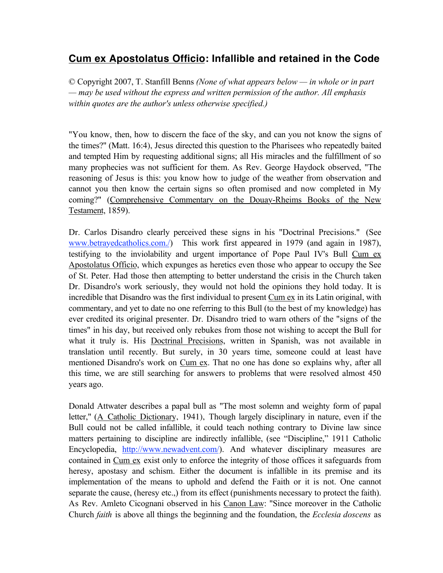# **Cum ex Apostolatus Officio: Infallible and retained in the Code**

© Copyright 2007, T. Stanfill Benns *(None of what appears below — in whole or in part — may be used without the express and written permission of the author. All emphasis within quotes are the author's unless otherwise specified.)*

"You know, then, how to discern the face of the sky, and can you not know the signs of the times?" (Matt. 16:4), Jesus directed this question to the Pharisees who repeatedly baited and tempted Him by requesting additional signs; all His miracles and the fulfillment of so many prophecies was not sufficient for them. As Rev. George Haydock observed, "The reasoning of Jesus is this: you know how to judge of the weather from observation and cannot you then know the certain signs so often promised and now completed in My coming?" (Comprehensive Commentary on the Douay-Rheims Books of the New Testament, 1859).

Dr. Carlos Disandro clearly perceived these signs in his "Doctrinal Precisions." (See www.betrayedcatholics.com./) This work first appeared in 1979 (and again in 1987), testifying to the inviolability and urgent importance of Pope Paul IV's Bull Cum ex Apostolatus Officio, which expunges as heretics even those who appear to occupy the See of St. Peter. Had those then attempting to better understand the crisis in the Church taken Dr. Disandro's work seriously, they would not hold the opinions they hold today. It is incredible that Disandro was the first individual to present Cum ex in its Latin original, with commentary, and yet to date no one referring to this Bull (to the best of my knowledge) has ever credited its original presenter. Dr. Disandro tried to warn others of the "signs of the times" in his day, but received only rebukes from those not wishing to accept the Bull for what it truly is. His Doctrinal Precisions, written in Spanish, was not available in translation until recently. But surely, in 30 years time, someone could at least have mentioned Disandro's work on Cum ex. That no one has done so explains why, after all this time, we are still searching for answers to problems that were resolved almost 450 years ago.

Donald Attwater describes a papal bull as "The most solemn and weighty form of papal letter," (A Catholic Dictionary, 1941), Though largely disciplinary in nature, even if the Bull could not be called infallible, it could teach nothing contrary to Divine law since matters pertaining to discipline are indirectly infallible, (see "Discipline," 1911 Catholic Encyclopedia, http://www.newadvent.com/). And whatever disciplinary measures are contained in Cum ex exist only to enforce the integrity of those offices it safeguards from heresy, apostasy and schism. Either the document is infallible in its premise and its implementation of the means to uphold and defend the Faith or it is not. One cannot separate the cause, (heresy etc.,) from its effect (punishments necessary to protect the faith). As Rev. Amleto Cicognani observed in his Canon Law: "Since moreover in the Catholic Church *faith* is above all things the beginning and the foundation, the *Ecclesia doscens* as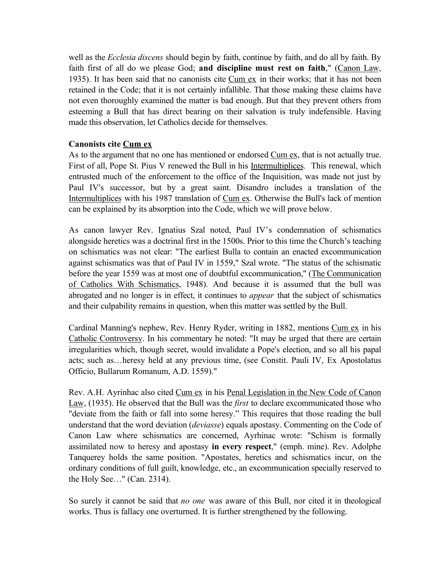well as the *Ecclesia discens* should begin by faith, continue by faith, and do all by faith. By faith first of all do we please God; **and discipline must rest on faith**," (Canon Law, 1935). It has been said that no canonists cite Cum ex in their works; that it has not been retained in the Code; that it is not certainly infallible. That those making these claims have not even thoroughly examined the matter is bad enough. But that they prevent others from esteeming a Bull that has direct bearing on their salvation is truly indefensible. Having made this observation, let Catholics decide for themselves.

## **Canonists cite Cum ex**

As to the argument that no one has mentioned or endorsed Cum ex, that is not actually true. First of all, Pope St. Pius V renewed the Bull in his Intermultiplices. This renewal, which entrusted much of the enforcement to the office of the Inquisition, was made not just by Paul IV's successor, but by a great saint. Disandro includes a translation of the Intermultiplices with his 1987 translation of Cum ex. Otherwise the Bull's lack of mention can be explained by its absorption into the Code, which we will prove below.

As canon lawyer Rev. Ignatius Szal noted, Paul IV's condemnation of schismatics alongside heretics was a doctrinal first in the 1500s. Prior to this time the Church's teaching on schismatics was not clear: "The earliest Bulla to contain an enacted excommunication against schismatics was that of Paul IV in 1559," Szal wrote. "The status of the schismatic before the year 1559 was at most one of doubtful excommunication," (The Communication of Catholics With Schismatics, 1948). And because it is assumed that the bull was abrogated and no longer is in effect, it continues to *appear* that the subject of schismatics and their culpability remains in question, when this matter was settled by the Bull.

Cardinal Manning's nephew, Rev. Henry Ryder, writing in 1882, mentions Cum ex in his Catholic Controversy. In his commentary he noted: "It may be urged that there are certain irregularities which, though secret, would invalidate a Pope's election, and so all his papal acts; such as…heresy held at any previous time, (see Constit. Pauli IV, Ex Apostolatus Officio, Bullarum Romanum, A.D. 1559)."

Rev. A.H. Ayrinhac also cited Cum ex in his Penal Legislation in the New Code of Canon Law, (1935). He observed that the Bull was the *first* to declare excommunicated those who "deviate from the faith or fall into some heresy." This requires that those reading the bull understand that the word deviation (*deviasse*) equals apostasy. Commenting on the Code of Canon Law where schismatics are concerned, Ayrhinac wrote: "Schism is formally assimilated now to heresy and apostasy **in every respect**," (emph. mine). Rev. Adolphe Tanquerey holds the same position. "Apostates, heretics and schismatics incur, on the ordinary conditions of full guilt, knowledge, etc., an excommunication specially reserved to the Holy See…" (Can. 2314).

So surely it cannot be said that *no one* was aware of this Bull, nor cited it in theological works. Thus is fallacy one overturned. It is further strengthened by the following.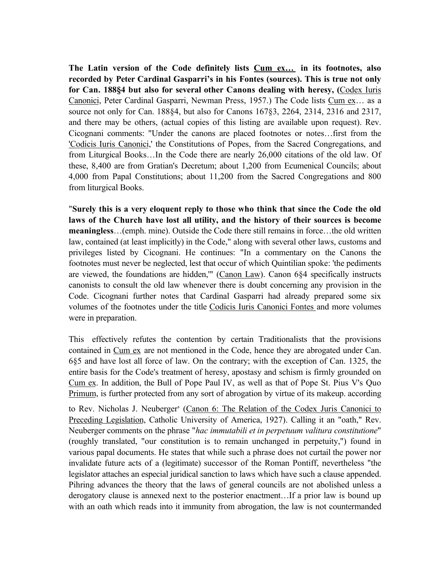**The Latin version of the Code definitely lists Cum ex… in its footnotes, also recorded by Peter Cardinal Gasparri's in his Fontes (sources). This is true not only for Can. 188§4 but also for several other Canons dealing with heresy, (**Codex Iuris Canonici, Peter Cardinal Gasparri, Newman Press, 1957.) The Code lists Cum ex… as a source not only for Can. 188§4, but also for Canons 167§3, 2264, 2314, 2316 and 2317, and there may be others, (actual copies of this listing are available upon request). Rev. Cicognani comments: "Under the canons are placed footnotes or notes…first from the 'Codicis Iuris Canonici,' the Constitutions of Popes, from the Sacred Congregations, and from Liturgical Books…In the Code there are nearly 26,000 citations of the old law. Of these, 8,400 are from Gratian's Decretum; about 1,200 from Ecumenical Councils; about 4,000 from Papal Constitutions; about 11,200 from the Sacred Congregations and 800 from liturgical Books.

"**Surely this is a very eloquent reply to those who think that since the Code the old laws of the Church have lost all utility, and the history of their sources is become meaningless**…(emph. mine). Outside the Code there still remains in force…the old written law, contained (at least implicitly) in the Code," along with several other laws, customs and privileges listed by Cicognani. He continues: "In a commentary on the Canons the footnotes must never be neglected, lest that occur of which Quintilian spoke: 'the pediments are viewed, the foundations are hidden,'" (Canon Law). Canon 6§4 specifically instructs canonists to consult the old law whenever there is doubt concerning any provision in the Code. Cicognani further notes that Cardinal Gasparri had already prepared some six volumes of the footnotes under the title Codicis Iuris Canonici Fontes and more volumes were in preparation.

This effectively refutes the contention by certain Traditionalists that the provisions contained in Cum ex are not mentioned in the Code, hence they are abrogated under Can. 6§5 and have lost all force of law. On the contrary; with the exception of Can. 1325, the entire basis for the Code's treatment of heresy, apostasy and schism is firmly grounded on Cum ex. In addition, the Bull of Pope Paul IV, as well as that of Pope St. Pius V's Quo Primum, is further protected from any sort of abrogation by virtue of its makeup. according

to Rev. Nicholas J. Neuberger' (Canon 6: The Relation of the Codex Juris Canonici to Preceding Legislation, Catholic University of America, 1927). Calling it an "oath," Rev. Neuberger comments on the phrase "*hac immutabili et in perpetuum valitura constitutione*" (roughly translated, "our constitution is to remain unchanged in perpetuity,") found in various papal documents. He states that while such a phrase does not curtail the power nor invalidate future acts of a (legitimate) successor of the Roman Pontiff, nevertheless "the legislator attaches an especial juridical sanction to laws which have such a clause appended. Pihring advances the theory that the laws of general councils are not abolished unless a derogatory clause is annexed next to the posterior enactment…If a prior law is bound up with an oath which reads into it immunity from abrogation, the law is not countermanded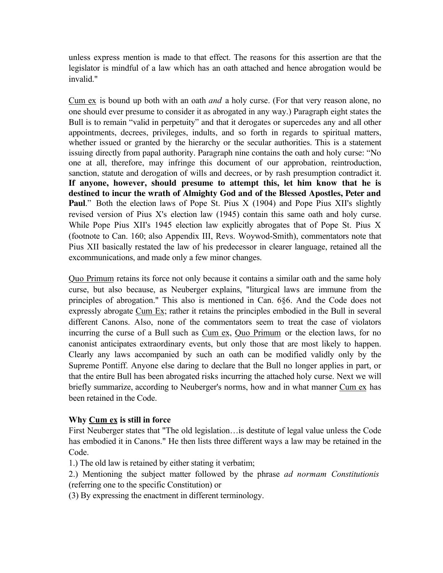unless express mention is made to that effect. The reasons for this assertion are that the legislator is mindful of a law which has an oath attached and hence abrogation would be invalid."

Cum ex is bound up both with an oath *and* a holy curse. (For that very reason alone, no one should ever presume to consider it as abrogated in any way.) Paragraph eight states the Bull is to remain "valid in perpetuity" and that it derogates or supercedes any and all other appointments, decrees, privileges, indults, and so forth in regards to spiritual matters, whether issued or granted by the hierarchy or the secular authorities. This is a statement issuing directly from papal authority. Paragraph nine contains the oath and holy curse: "No one at all, therefore, may infringe this document of our approbation, reintroduction, sanction, statute and derogation of wills and decrees, or by rash presumption contradict it. **If anyone, however, should presume to attempt this, let him know that he is destined to incur the wrath of Almighty God and of the Blessed Apostles, Peter and Paul.**" Both the election laws of Pope St. Pius X (1904) and Pope Pius XII's slightly revised version of Pius X's election law (1945) contain this same oath and holy curse. While Pope Pius XII's 1945 election law explicitly abrogates that of Pope St. Pius X (footnote to Can. 160; also Appendix III, Revs. Woywod-Smith), commentators note that Pius XII basically restated the law of his predecessor in clearer language, retained all the excommunications, and made only a few minor changes.

Quo Primum retains its force not only because it contains a similar oath and the same holy curse, but also because, as Neuberger explains, "liturgical laws are immune from the principles of abrogation." This also is mentioned in Can. 6§6. And the Code does not expressly abrogate Cum Ex; rather it retains the principles embodied in the Bull in several different Canons. Also, none of the commentators seem to treat the case of violators incurring the curse of a Bull such as Cum ex, Quo Primum or the election laws, for no canonist anticipates extraordinary events, but only those that are most likely to happen. Clearly any laws accompanied by such an oath can be modified validly only by the Supreme Pontiff. Anyone else daring to declare that the Bull no longer applies in part, or that the entire Bull has been abrogated risks incurring the attached holy curse. Next we will briefly summarize, according to Neuberger's norms, how and in what manner Cum ex has been retained in the Code.

# **Why Cum ex is still in force**

First Neuberger states that "The old legislation…is destitute of legal value unless the Code has embodied it in Canons." He then lists three different ways a law may be retained in the Code.

- 1.) The old law is retained by either stating it verbatim;
- 2.) Mentioning the subject matter followed by the phrase *ad normam Constitutionis*  (referring one to the specific Constitution) or
- (3) By expressing the enactment in different terminology.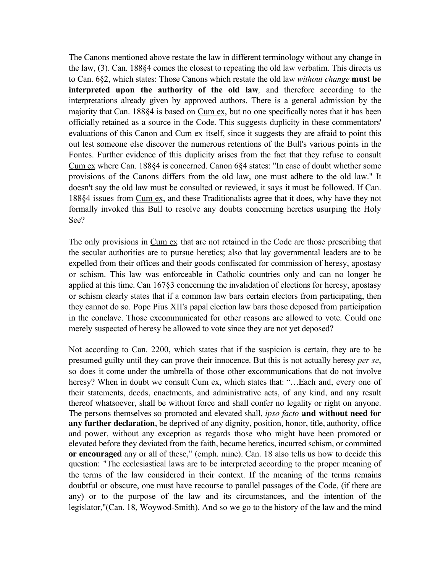The Canons mentioned above restate the law in different terminology without any change in the law, (3). Can. 188§4 comes the closest to repeating the old law verbatim. This directs us to Can. 6§2, which states: Those Canons which restate the old law *without change* **must be interpreted upon the authority of the old law***,* and therefore according to the interpretations already given by approved authors. There is a general admission by the majority that Can. 188§4 is based on Cum ex, but no one specifically notes that it has been officially retained as a source in the Code. This suggests duplicity in these commentators' evaluations of this Canon and Cum ex itself, since it suggests they are afraid to point this out lest someone else discover the numerous retentions of the Bull's various points in the Fontes. Further evidence of this duplicity arises from the fact that they refuse to consult Cum ex where Can. 188§4 is concerned. Canon 6§4 states: "In case of doubt whether some provisions of the Canons differs from the old law, one must adhere to the old law." It doesn't say the old law must be consulted or reviewed, it says it must be followed. If Can. 188§4 issues from Cum ex, and these Traditionalists agree that it does, why have they not formally invoked this Bull to resolve any doubts concerning heretics usurping the Holy See?

The only provisions in Cum ex that are not retained in the Code are those prescribing that the secular authorities are to pursue heretics; also that lay governmental leaders are to be expelled from their offices and their goods confiscated for commission of heresy, apostasy or schism. This law was enforceable in Catholic countries only and can no longer be applied at this time. Can 167§3 concerning the invalidation of elections for heresy, apostasy or schism clearly states that if a common law bars certain electors from participating, then they cannot do so. Pope Pius XII's papal election law bars those deposed from participation in the conclave. Those excommunicated for other reasons are allowed to vote. Could one merely suspected of heresy be allowed to vote since they are not yet deposed?

Not according to Can. 2200, which states that if the suspicion is certain, they are to be presumed guilty until they can prove their innocence. But this is not actually heresy *per se*, so does it come under the umbrella of those other excommunications that do not involve heresy? When in doubt we consult Cum ex, which states that: "...Each and, every one of their statements, deeds, enactments, and administrative acts, of any kind, and any result thereof whatsoever, shall be without force and shall confer no legality or right on anyone. The persons themselves so promoted and elevated shall, *ipso facto* **and without need for any further declaration**, be deprived of any dignity, position, honor, title, authority, office and power, without any exception as regards those who might have been promoted or elevated before they deviated from the faith, became heretics, incurred schism, or committed **or encouraged** any or all of these," (emph. mine). Can. 18 also tells us how to decide this question: "The ecclesiastical laws are to be interpreted according to the proper meaning of the terms of the law considered in their context. If the meaning of the terms remains doubtful or obscure, one must have recourse to parallel passages of the Code, (if there are any) or to the purpose of the law and its circumstances, and the intention of the legislator,"(Can. 18, Woywod-Smith). And so we go to the history of the law and the mind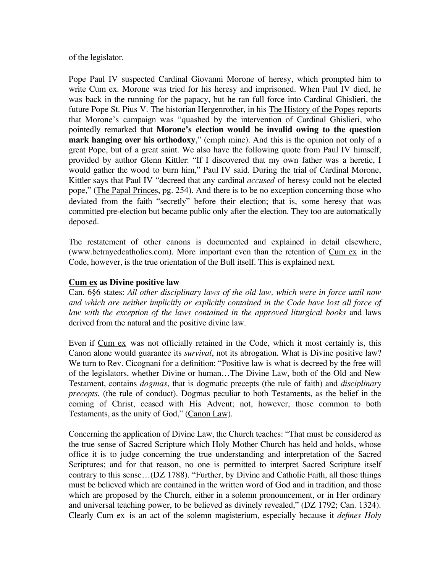of the legislator.

Pope Paul IV suspected Cardinal Giovanni Morone of heresy, which prompted him to write Cum ex. Morone was tried for his heresy and imprisoned. When Paul IV died, he was back in the running for the papacy, but he ran full force into Cardinal Ghislieri, the future Pope St. Pius V. The historian Hergenrother, in his The History of the Popes reports that Morone's campaign was "quashed by the intervention of Cardinal Ghislieri, who pointedly remarked that **Morone's election would be invalid owing to the question mark hanging over his orthodoxy**," (emph mine). And this is the opinion not only of a great Pope, but of a great saint. We also have the following quote from Paul IV himself, provided by author Glenn Kittler: "If I discovered that my own father was a heretic, I would gather the wood to burn him," Paul IV said. During the trial of Cardinal Morone, Kittler says that Paul IV "decreed that any cardinal *accused* of heresy could not be elected pope," (The Papal Princes, pg. 254). And there is to be no exception concerning those who deviated from the faith "secretly" before their election; that is, some heresy that was committed pre-election but became public only after the election. They too are automatically deposed.

The restatement of other canons is documented and explained in detail elsewhere, (www.betrayedcatholics.com). More important even than the retention of Cum ex in the Code, however, is the true orientation of the Bull itself. This is explained next.

#### **Cum ex as Divine positive law**

Can. 6§6 states: *All other disciplinary laws of the old law, which were in force until now and which are neither implicitly or explicitly contained in the Code have lost all force of*  law with the exception of the laws contained in the approved liturgical books and laws derived from the natural and the positive divine law.

Even if Cum ex was not officially retained in the Code, which it most certainly is, this Canon alone would guarantee its *survival*, not its abrogation. What is Divine positive law? We turn to Rev. Cicognani for a definition: "Positive law is what is decreed by the free will of the legislators, whether Divine or human…The Divine Law, both of the Old and New Testament, contains *dogmas*, that is dogmatic precepts (the rule of faith) and *disciplinary precepts*, (the rule of conduct). Dogmas peculiar to both Testaments, as the belief in the coming of Christ, ceased with His Advent; not, however, those common to both Testaments, as the unity of God," (Canon Law).

Concerning the application of Divine Law, the Church teaches: "That must be considered as the true sense of Sacred Scripture which Holy Mother Church has held and holds, whose office it is to judge concerning the true understanding and interpretation of the Sacred Scriptures; and for that reason, no one is permitted to interpret Sacred Scripture itself contrary to this sense…(DZ 1788). "Further, by Divine and Catholic Faith, all those things must be believed which are contained in the written word of God and in tradition, and those which are proposed by the Church, either in a solemn pronouncement, or in Her ordinary and universal teaching power, to be believed as divinely revealed," (DZ 1792; Can. 1324). Clearly Cum ex is an act of the solemn magisterium, especially because it *defines Holy*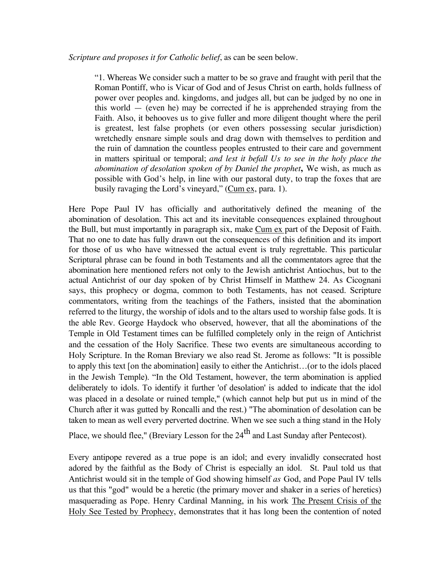"1. Whereas We consider such a matter to be so grave and fraught with peril that the Roman Pontiff, who is Vicar of God and of Jesus Christ on earth, holds fullness of power over peoples and. kingdoms, and judges all, but can be judged by no one in this world — (even he) may be corrected if he is apprehended straying from the Faith. Also, it behooves us to give fuller and more diligent thought where the peril is greatest, lest false prophets (or even others possessing secular jurisdiction) wretchedly ensnare simple souls and drag down with themselves to perdition and the ruin of damnation the countless peoples entrusted to their care and government in matters spiritual or temporal; *and lest it befall Us to see in the holy place the abomination of desolation spoken of by Daniel the prophet***,** We wish, as much as possible with God's help, in line with our pastoral duty, to trap the foxes that are busily ravaging the Lord's vineyard," (Cum ex, para. 1).

Here Pope Paul IV has officially and authoritatively defined the meaning of the abomination of desolation. This act and its inevitable consequences explained throughout the Bull, but must importantly in paragraph six, make Cum ex part of the Deposit of Faith. That no one to date has fully drawn out the consequences of this definition and its import for those of us who have witnessed the actual event is truly regrettable. This particular Scriptural phrase can be found in both Testaments and all the commentators agree that the abomination here mentioned refers not only to the Jewish antichrist Antiochus, but to the actual Antichrist of our day spoken of by Christ Himself in Matthew 24. As Cicognani says, this prophecy or dogma, common to both Testaments, has not ceased. Scripture commentators, writing from the teachings of the Fathers, insisted that the abomination referred to the liturgy, the worship of idols and to the altars used to worship false gods. It is the able Rev. George Haydock who observed, however, that all the abominations of the Temple in Old Testament times can be fulfilled completely only in the reign of Antichrist and the cessation of the Holy Sacrifice. These two events are simultaneous according to Holy Scripture. In the Roman Breviary we also read St. Jerome as follows: "It is possible to apply this text [on the abomination] easily to either the Antichrist…(or to the idols placed in the Jewish Temple). "In the Old Testament, however, the term abomination is applied deliberately to idols. To identify it further 'of desolation' is added to indicate that the idol was placed in a desolate or ruined temple," (which cannot help but put us in mind of the Church after it was gutted by Roncalli and the rest.) "The abomination of desolation can be taken to mean as well every perverted doctrine. When we see such a thing stand in the Holy

Place, we should flee," (Breviary Lesson for the  $24<sup>th</sup>$  and Last Sunday after Pentecost).

Every antipope revered as a true pope is an idol; and every invalidly consecrated host adored by the faithful as the Body of Christ is especially an idol. St. Paul told us that Antichrist would sit in the temple of God showing himself *as* God, and Pope Paul IV tells us that this "god" would be a heretic (the primary mover and shaker in a series of heretics) masquerading as Pope. Henry Cardinal Manning, in his work The Present Crisis of the Holy See Tested by Prophecy, demonstrates that it has long been the contention of noted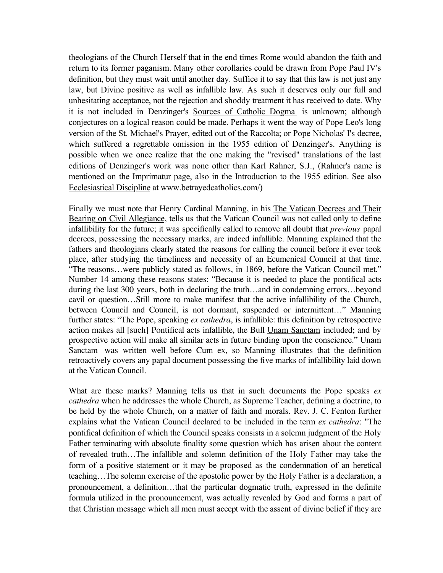theologians of the Church Herself that in the end times Rome would abandon the faith and return to its former paganism. Many other corollaries could be drawn from Pope Paul IV's definition, but they must wait until another day. Suffice it to say that this law is not just any law, but Divine positive as well as infallible law. As such it deserves only our full and unhesitating acceptance, not the rejection and shoddy treatment it has received to date. Why it is not included in Denzinger's Sources of Catholic Dogma is unknown; although conjectures on a logical reason could be made. Perhaps it went the way of Pope Leo's long version of the St. Michael's Prayer, edited out of the Raccolta; or Pope Nicholas' I's decree, which suffered a regrettable omission in the 1955 edition of Denzinger's. Anything is possible when we once realize that the one making the "revised" translations of the last editions of Denzinger's work was none other than Karl Rahner, S.J., (Rahner's name is mentioned on the Imprimatur page, also in the Introduction to the 1955 edition. See also Ecclesiastical Discipline at www.betrayedcatholics.com/)

Finally we must note that Henry Cardinal Manning, in his The Vatican Decrees and Their Bearing on Civil Allegiance, tells us that the Vatican Council was not called only to define infallibility for the future; it was specifically called to remove all doubt that *previous* papal decrees, possessing the necessary marks, are indeed infallible. Manning explained that the fathers and theologians clearly stated the reasons for calling the council before it ever took place, after studying the timeliness and necessity of an Ecumenical Council at that time. "The reasons…were publicly stated as follows, in 1869, before the Vatican Council met." Number 14 among these reasons states: "Because it is needed to place the pontifical acts during the last 300 years, both in declaring the truth…and in condemning errors…beyond cavil or question…Still more to make manifest that the active infallibility of the Church, between Council and Council, is not dormant, suspended or intermittent…" Manning further states: "The Pope, speaking *ex cathedra*, is infallible: this definition by retrospective action makes all [such] Pontifical acts infallible, the Bull Unam Sanctam included; and by prospective action will make all similar acts in future binding upon the conscience." Unam Sanctam was written well before Cum ex, so Manning illustrates that the definition retroactively covers any papal document possessing the five marks of infallibility laid down at the Vatican Council.

What are these marks? Manning tells us that in such documents the Pope speaks *ex cathedra* when he addresses the whole Church, as Supreme Teacher, defining a doctrine, to be held by the whole Church, on a matter of faith and morals. Rev. J. C. Fenton further explains what the Vatican Council declared to be included in the term *ex cathedra*: "The pontifical definition of which the Council speaks consists in a solemn judgment of the Holy Father terminating with absolute finality some question which has arisen about the content of revealed truth…The infallible and solemn definition of the Holy Father may take the form of a positive statement or it may be proposed as the condemnation of an heretical teaching…The solemn exercise of the apostolic power by the Holy Father is a declaration, a pronouncement, a definition…that the particular dogmatic truth, expressed in the definite formula utilized in the pronouncement, was actually revealed by God and forms a part of that Christian message which all men must accept with the assent of divine belief if they are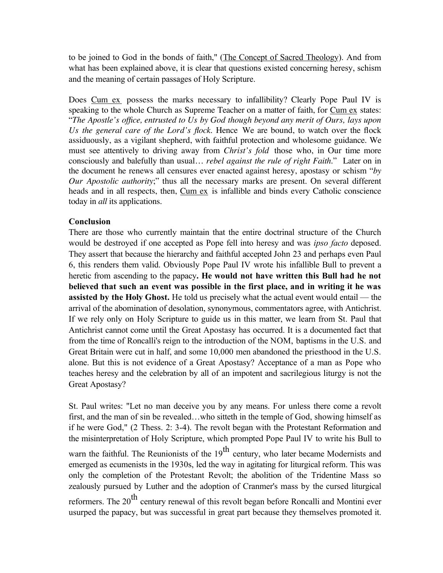to be joined to God in the bonds of faith," (The Concept of Sacred Theology). And from what has been explained above, it is clear that questions existed concerning heresy, schism and the meaning of certain passages of Holy Scripture.

Does Cum ex possess the marks necessary to infallibility? Clearly Pope Paul IV is speaking to the whole Church as Supreme Teacher on a matter of faith, for Cum ex states: "*The Apostle's office, entrusted to Us by God though beyond any merit of Ours, lays upon Us the general care of the Lord's flock*. Hence We are bound, to watch over the flock assiduously, as a vigilant shepherd, with faithful protection and wholesome guidance. We must see attentively to driving away from *Christ's fold* those who, in Our time more consciously and balefully than usual… *rebel against the rule of right Faith*." Later on in the document he renews all censures ever enacted against heresy, apostasy or schism "*by Our Apostolic authority*;" thus all the necessary marks are present. On several different heads and in all respects, then, Cum ex is infallible and binds every Catholic conscience today in *all* its applications.

## **Conclusion**

There are those who currently maintain that the entire doctrinal structure of the Church would be destroyed if one accepted as Pope fell into heresy and was *ipso facto* deposed. They assert that because the hierarchy and faithful accepted John 23 and perhaps even Paul 6, this renders them valid. Obviously Pope Paul IV wrote his infallible Bull to prevent a heretic from ascending to the papacy**. He would not have written this Bull had he not believed that such an event was possible in the first place, and in writing it he was assisted by the Holy Ghost.** He told us precisely what the actual event would entail — the arrival of the abomination of desolation, synonymous, commentators agree, with Antichrist. If we rely only on Holy Scripture to guide us in this matter, we learn from St. Paul that Antichrist cannot come until the Great Apostasy has occurred. It is a documented fact that from the time of Roncalli's reign to the introduction of the NOM, baptisms in the U.S. and Great Britain were cut in half, and some 10,000 men abandoned the priesthood in the U.S. alone. But this is not evidence of a Great Apostasy? Acceptance of a man as Pope who teaches heresy and the celebration by all of an impotent and sacrilegious liturgy is not the Great Apostasy?

St. Paul writes: "Let no man deceive you by any means. For unless there come a revolt first, and the man of sin be revealed…who sitteth in the temple of God, showing himself as if he were God," (2 Thess. 2: 3-4). The revolt began with the Protestant Reformation and the misinterpretation of Holy Scripture, which prompted Pope Paul IV to write his Bull to warn the faithful. The Reunionists of the  $19<sup>th</sup>$  century, who later became Modernists and emerged as ecumenists in the 1930s, led the way in agitating for liturgical reform. This was only the completion of the Protestant Revolt; the abolition of the Tridentine Mass so zealously pursued by Luther and the adoption of Cranmer's mass by the cursed liturgical reformers. The  $20<sup>th</sup>$  century renewal of this revolt began before Roncalli and Montini ever usurped the papacy, but was successful in great part because they themselves promoted it.